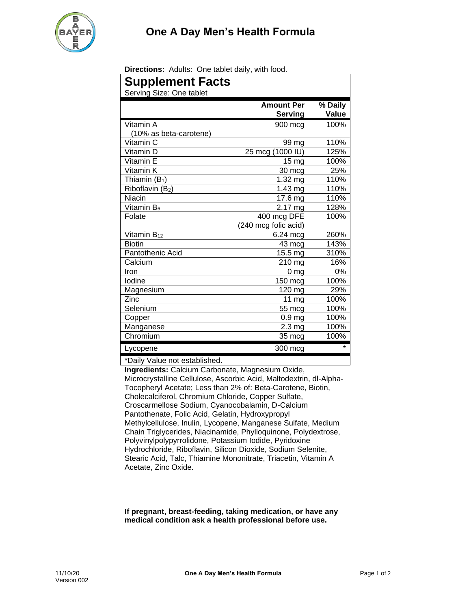**Directions:** Adults: One tablet daily, with food.

| <b>Supplement Facts</b>       |                                     |                  |
|-------------------------------|-------------------------------------|------------------|
| Serving Size: One tablet      |                                     |                  |
|                               | <b>Amount Per</b><br><b>Serving</b> | % Daily<br>Value |
| Vitamin A                     | 900 mcg                             | 100%             |
| (10% as beta-carotene)        |                                     |                  |
| Vitamin C                     | 99 mg                               | 110%             |
| Vitamin D                     | 25 mcg (1000 IU)                    | 125%             |
| Vitamin E                     | 15 <sub>mg</sub>                    | 100%             |
| Vitamin K                     | 30 mcg                              | 25%              |
| Thiamin $(B_1)$               | 1.32 mg                             | 110%             |
| Riboflavin (B2)               | $1.43$ mg                           | 110%             |
| Niacin                        | 17.6 mg                             | 110%             |
| Vitamin B <sub>6</sub>        | $2.17 \text{ mg}$                   | 128%             |
| Folate                        | 400 mcg DFE                         | 100%             |
|                               | (240 mcg folic acid)                |                  |
| Vitamin B <sub>12</sub>       | 6.24 mcg                            | 260%             |
| <b>Biotin</b>                 | 43 mcg                              | 143%             |
| Pantothenic Acid              | 15.5 mg                             | 310%             |
| Calcium                       | 210 mg                              | 16%              |
| Iron                          | 0 ma                                | 0%               |
| lodine                        | 150 mcg                             | 100%             |
| Magnesium                     | 120 mg                              | 29%              |
| Zinc                          | 11 mg                               | 100%             |
| Selenium                      | 55 mcg                              | 100%             |
| Copper                        | 0.9 <sub>mg</sub>                   | 100%             |
| Manganese                     | 2.3 <sub>mg</sub>                   | 100%             |
| Chromium                      | 35 mcg                              | 100%             |
| Lycopene                      | 300 mcg                             | $\star$          |
| *Daily Value not established. |                                     |                  |

\*Daily Value not established.

**Ingredients:** Calcium Carbonate, Magnesium Oxide, Microcrystalline Cellulose, Ascorbic Acid, Maltodextrin, dl-Alpha-Tocopheryl Acetate; Less than 2% of: Beta-Carotene, Biotin, Cholecalciferol, Chromium Chloride, Copper Sulfate, Croscarmellose Sodium, Cyanocobalamin, D-Calcium Pantothenate, Folic Acid, Gelatin, Hydroxypropyl Methylcellulose, Inulin, Lycopene, Manganese Sulfate, Medium Chain Triglycerides, Niacinamide, Phylloquinone, Polydextrose, Polyvinylpolypyrrolidone, Potassium Iodide, Pyridoxine Hydrochloride, Riboflavin, Silicon Dioxide, Sodium Selenite, Stearic Acid, Talc, Thiamine Mononitrate, Triacetin, Vitamin A Acetate, Zinc Oxide.

**If pregnant, breast-feeding, taking medication, or have any medical condition ask a health professional before use.**